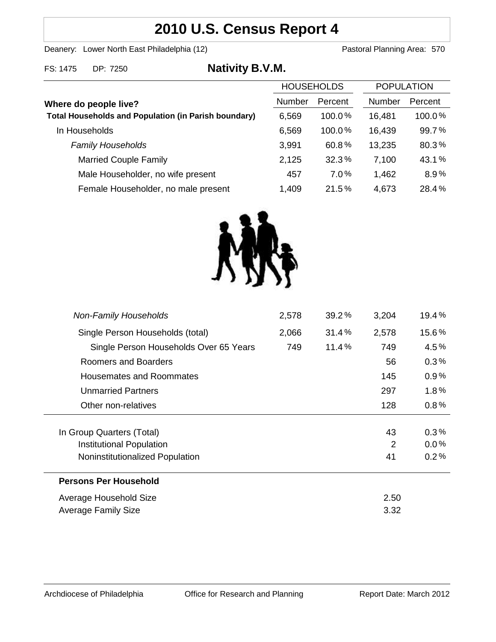# **2010 U.S. Census Report 4**

Deanery: Lower North East Philadelphia (12) Deanery: Lower North East Philadelphia (12)

| FS: 1475 DP: 7250 | <b>Nativity B.V.M.</b> |
|-------------------|------------------------|
|-------------------|------------------------|

|                                                             | <b>HOUSEHOLDS</b> |         | <b>POPULATION</b> |         |
|-------------------------------------------------------------|-------------------|---------|-------------------|---------|
| Where do people live?                                       | <b>Number</b>     | Percent | Number            | Percent |
| <b>Total Households and Population (in Parish boundary)</b> | 6,569             | 100.0%  | 16,481            | 100.0%  |
| In Households                                               | 6,569             | 100.0%  | 16,439            | 99.7%   |
| <b>Family Households</b>                                    | 3,991             | 60.8%   | 13,235            | 80.3%   |
| <b>Married Couple Family</b>                                | 2,125             | 32.3%   | 7,100             | 43.1%   |
| Male Householder, no wife present                           | 457               | 7.0%    | 1,462             | 8.9%    |
| Female Householder, no male present                         | 1,409             | 21.5%   | 4,673             | 28.4%   |



| <b>Non-Family Households</b>           | 2,578 | 39.2% | 3,204 | 19.4%   |
|----------------------------------------|-------|-------|-------|---------|
| Single Person Households (total)       | 2,066 | 31.4% | 2,578 | 15.6%   |
| Single Person Households Over 65 Years | 749   | 11.4% | 749   | 4.5%    |
| Roomers and Boarders                   |       |       | 56    | 0.3%    |
| Housemates and Roommates               |       |       | 145   | 0.9%    |
| <b>Unmarried Partners</b>              |       |       | 297   | 1.8%    |
| Other non-relatives                    |       |       | 128   | 0.8%    |
|                                        |       |       |       |         |
| In Group Quarters (Total)              |       |       | 43    | 0.3%    |
| Institutional Population               |       |       | 2     | $0.0\%$ |
| Noninstitutionalized Population        |       |       | 41    | 0.2%    |
| <b>Persons Per Household</b>           |       |       |       |         |
| Average Household Size                 |       |       | 2.50  |         |
| <b>Average Family Size</b>             |       |       | 3.32  |         |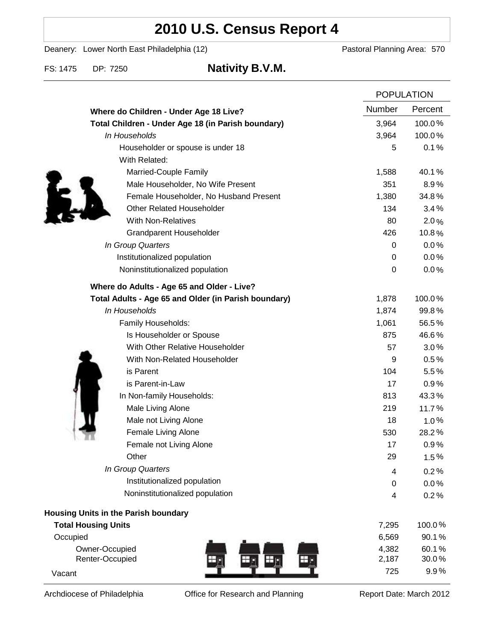# **2010 U.S. Census Report 4**

Deanery: Lower North East Philadelphia (12) Deanery: Lower North East Philadelphia (12)

FS: 1475 DP: 7250 **Nativity B.V.M.**

|                                                      | <b>POPULATION</b> |         |
|------------------------------------------------------|-------------------|---------|
| Where do Children - Under Age 18 Live?               | Number            | Percent |
| Total Children - Under Age 18 (in Parish boundary)   | 3,964             | 100.0%  |
| In Households                                        | 3,964             | 100.0%  |
| Householder or spouse is under 18                    | 5                 | 0.1%    |
| With Related:                                        |                   |         |
| Married-Couple Family                                | 1,588             | 40.1%   |
| Male Householder, No Wife Present                    | 351               | 8.9%    |
| Female Householder, No Husband Present               | 1,380             | 34.8%   |
| <b>Other Related Householder</b>                     | 134               | 3.4%    |
| <b>With Non-Relatives</b>                            | 80                | 2.0%    |
| <b>Grandparent Householder</b>                       | 426               | 10.8%   |
| In Group Quarters                                    | 0                 | 0.0%    |
| Institutionalized population                         | 0                 | 0.0%    |
| Noninstitutionalized population                      | 0                 | 0.0%    |
| Where do Adults - Age 65 and Older - Live?           |                   |         |
| Total Adults - Age 65 and Older (in Parish boundary) | 1,878             | 100.0%  |
| In Households                                        | 1,874             | 99.8%   |
| Family Households:                                   | 1,061             | 56.5%   |
| Is Householder or Spouse                             | 875               | 46.6%   |
| With Other Relative Householder                      | 57                | 3.0%    |
| With Non-Related Householder                         | 9                 | 0.5%    |
| is Parent                                            | 104               | 5.5%    |
| is Parent-in-Law                                     | 17                | 0.9%    |
| In Non-family Households:                            | 813               | 43.3%   |
| Male Living Alone                                    | 219               | 11.7%   |
| Male not Living Alone                                | 18                | 1.0%    |
| Female Living Alone                                  | 530               | 28.2%   |
| Female not Living Alone                              | 17                | 0.9%    |
| Other                                                | 29                | 1.5%    |
| In Group Quarters                                    | 4                 | 0.2%    |
| Institutionalized population                         | 0                 | 0.0%    |
| Noninstitutionalized population                      | 4                 | 0.2%    |
| Housing Units in the Parish boundary                 |                   |         |
| <b>Total Housing Units</b>                           | 7,295             | 100.0%  |
| Occupied                                             | 6,569             | 90.1%   |
| Owner-Occupied                                       | 4,382             | 60.1%   |
| Renter-Occupied                                      | 2,187             | 30.0%   |
| Vacant                                               | 725               | 9.9%    |

Archdiocese of Philadelphia **Office for Research and Planning** Report Date: March 2012